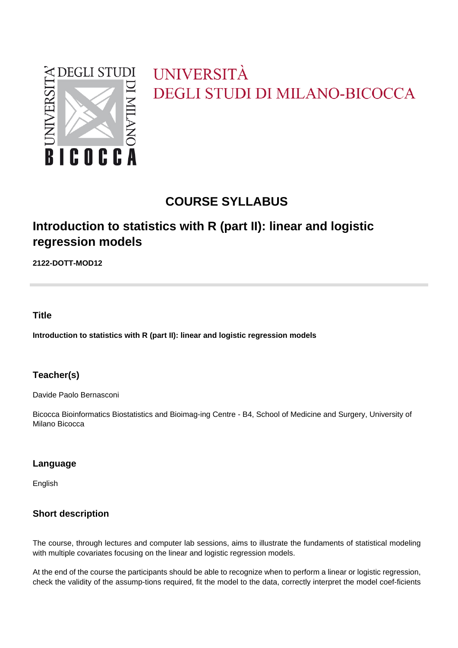

# UNIVERSITÀ **DEGLI STUDI DI MILANO-BICOCCA**

# **COURSE SYLLABUS**

# **Introduction to statistics with R (part II): linear and logistic regression models**

**2122-DOTT-MOD12**

# **Title**

**Introduction to statistics with R (part II): linear and logistic regression models**

# **Teacher(s)**

Davide Paolo Bernasconi

Bicocca Bioinformatics Biostatistics and Bioimag-ing Centre - B4, School of Medicine and Surgery, University of Milano Bicocca

#### **Language**

English

# **Short description**

The course, through lectures and computer lab sessions, aims to illustrate the fundaments of statistical modeling with multiple covariates focusing on the linear and logistic regression models.

At the end of the course the participants should be able to recognize when to perform a linear or logistic regression, check the validity of the assump-tions required, fit the model to the data, correctly interpret the model coef-ficients